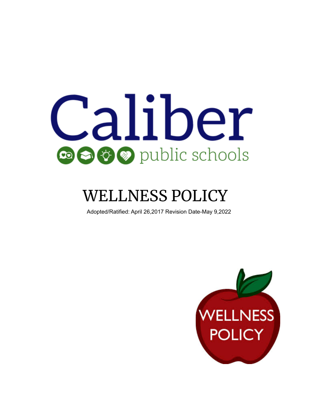

# WELLNESS POLICY

Adopted/Ratified: April 26,2017 Revision Date-May 9,2022

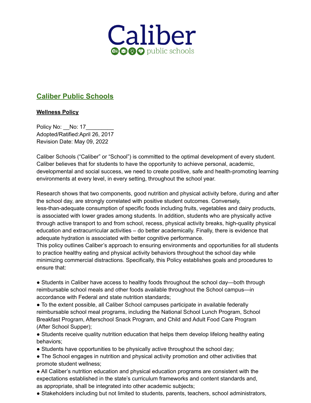

# **Caliber Public Schools**

# **Wellness Policy**

Policy No: No: 17 Adopted/Ratified:April 26, 2017 Revision Date: May 09, 2022

Caliber Schools ("Caliber" or "School") is committed to the optimal development of every student. Caliber believes that for students to have the opportunity to achieve personal, academic, developmental and social success, we need to create positive, safe and health-promoting learning environments at every level, in every setting, throughout the school year.

Research shows that two components, good nutrition and physical activity before, during and after the school day, are strongly correlated with positive student outcomes. Conversely, less-than-adequate consumption of specific foods including fruits, vegetables and dairy products, is associated with lower grades among students. In addition, students who are physically active through active transport to and from school, recess, physical activity breaks, high-quality physical education and extracurricular activities – do better academically. Finally, there is evidence that adequate hydration is associated with better cognitive performance.

This policy outlines Caliber's approach to ensuring environments and opportunities for all students to practice healthy eating and physical activity behaviors throughout the school day while minimizing commercial distractions. Specifically, this Policy establishes goals and procedures to ensure that:

• Students in Caliber have access to healthy foods throughout the school day—both through reimbursable school meals and other foods available throughout the School campus—in accordance with Federal and state nutrition standards;

● To the extent possible, all Caliber School campuses participate in available federally reimbursable school meal programs, including the National School Lunch Program, School Breakfast Program, Afterschool Snack Program, and Child and Adult Food Care Program (After School Supper);

• Students receive quality nutrition education that helps them develop lifelong healthy eating behaviors;

- Students have opportunities to be physically active throughout the school day;
- The School engages in nutrition and physical activity promotion and other activities that promote student wellness;
- All Caliber's nutrition education and physical education programs are consistent with the expectations established in the state's curriculum frameworks and content standards and, as appropriate, shall be integrated into other academic subjects;

● Stakeholders including but not limited to students, parents, teachers, school administrators,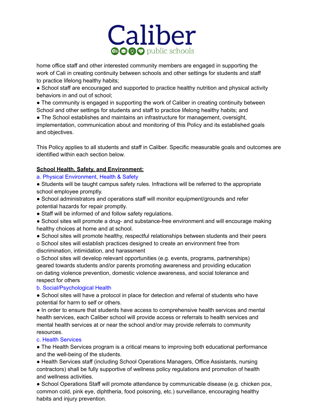

home office staff and other interested community members are engaged in supporting the work of Cali in creating continuity between schools and other settings for students and staff to practice lifelong healthy habits;

• School staff are encouraged and supported to practice healthy nutrition and physical activity behaviors in and out of school;

• The community is engaged in supporting the work of Caliber in creating continuity between School and other settings for students and staff to practice lifelong healthy habits; and

● The School establishes and maintains an infrastructure for management, oversight, implementation, communication about and monitoring of this Policy and its established goals and objectives.

This Policy applies to all students and staff in Caliber. Specific measurable goals and outcomes are identified within each section below.

# **School Health, Safety, and Environment:**

# a. Physical Environment, Health & Safety

● Students will be taught campus safety rules. Infractions will be referred to the appropriate school employee promptly.

• School administrators and operations staff will monitor equipment/grounds and refer potential hazards for repair promptly.

• Staff will be informed of and follow safety regulations.

• School sites will promote a drug- and substance-free environment and will encourage making healthy choices at home and at school.

● School sites will promote healthy, respectful relationships between students and their peers o School sites will establish practices designed to create an environment free from discrimination, intimidation, and harassment

o School sites will develop relevant opportunities (e.g. events, programs, partnerships) geared towards students and/or parents promoting awareness and providing education on dating violence prevention, domestic violence awareness, and social tolerance and respect for others

# b. Social/Psychological Health

● School sites will have a protocol in place for detection and referral of students who have potential for harm to self or others.

● In order to ensure that students have access to comprehensive health services and mental health services, each Caliber school will provide access or referrals to health services and mental health services at or near the school and/or may provide referrals to community resources.

# c. Health Services

• The Health Services program is a critical means to improving both educational performance and the well-being of the students.

● Health Services staff (including School Operations Managers, Office Assistants, nursing contractors) shall be fully supportive of wellness policy regulations and promotion of health and wellness activities.

● School Operations Staff will promote attendance by communicable disease (e.g. chicken pox, common cold, pink eye, diphtheria, food poisoning, etc.) surveillance, encouraging healthy habits and injury prevention.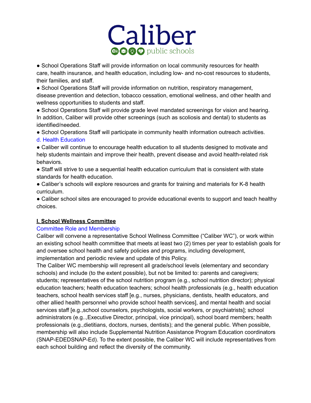

● School Operations Staff will provide information on local community resources for health care, health insurance, and health education, including low- and no-cost resources to students, their families, and staff.

• School Operations Staff will provide information on nutrition, respiratory management, disease prevention and detection, tobacco cessation, emotional wellness, and other health and wellness opportunities to students and staff.

● School Operations Staff will provide grade level mandated screenings for vision and hearing. In addition, Caliber will provide other screenings (such as scoliosis and dental) to students as identified/needed.

● School Operations Staff will participate in community health information outreach activities. d. Health Education

● Caliber will continue to encourage health education to all students designed to motivate and help students maintain and improve their health, prevent disease and avoid health-related risk behaviors.

● Staff will strive to use a sequential health education curriculum that is consistent with state standards for health education.

● Caliber's schools will explore resources and grants for training and materials for K-8 health curriculum.

• Caliber school sites are encouraged to provide educational events to support and teach healthy choices.

# **I. School Wellness Committee**

# Committee Role and Membership

Caliber will convene a representative School Wellness Committee ("Caliber WC"), or work within an existing school health committee that meets at least two (2) times per year to establish goals for and oversee school health and safety policies and programs, including development, implementation and periodic review and update of this Policy.

The Caliber WC membership will represent all grade/school levels (elementary and secondary schools) and include (to the extent possible), but not be limited to: parents and caregivers; students; representatives of the school nutrition program (e.g., school nutrition director); physical education teachers; health education teachers; school health professionals (e.g., health education teachers, school health services staff [e.g., nurses, physicians, dentists, health educators, and other allied health personnel who provide school health services], and mental health and social services staff [e.g.,school counselors, psychologists, social workers, or psychiatrists]; school administrators (e.g..,Executive Director, principal, vice principal), school board members; health professionals (e.g.,dietitians, doctors, nurses, dentists); and the general public. When possible, membership will also include Supplemental Nutrition Assistance Program Education coordinators (SNAP-EDEDSNAP-Ed). To the extent possible, the Caliber WC will include representatives from each school building and reflect the diversity of the community.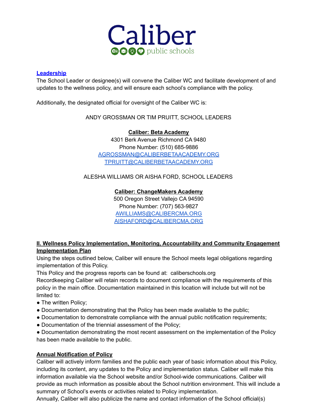

### **Leadership**

The School Leader or designee(s) will convene the Caliber WC and facilitate development of and updates to the wellness policy, and will ensure each school's compliance with the policy.

Additionally, the designated official for oversight of the Caliber WC is:

ANDY GROSSMAN OR TIM PRUITT, SCHOOL LEADERS

**Caliber: Beta Academy**

4301 Berk Avenue Richmond CA 9480 Phone Number: (510) 685-9886 [AGROSSMAN@CALIBERBETAACADEMY.ORG](mailto:AGROSSMAN@CALIBERBETAACADEMY.ORG) [TPRUITT@CALIBERBETAACADEMY.ORG](mailto:TPRUITT@CALIBERBETAACADEMY.ORG)

ALESHA WILLIAMS OR AISHA FORD, SCHOOL LEADERS

#### **Caliber: ChangeMakers Academy**

500 Oregon Street Vallejo CA 94590 Phone Number: (707) 563-9827 [AWILLIAMS@CALIBERCMA.ORG](mailto:AWILLIAMS@CALIBERCMA.ORG) [AISHAFORD@CALIBERCMA.ORG](mailto:AISHAFORD@CALIBERCMA.ORG)

# **II. Wellness Policy Implementation, Monitoring, Accountability and Community Engagement Implementation Plan**

Using the steps outlined below, Caliber will ensure the School meets legal obligations regarding implementation of this Policy.

This Policy and the progress reports can be found at: caliberschools.org

Recordkeeping Caliber will retain records to document compliance with the requirements of this policy in the main office. Documentation maintained in this location will include but will not be limited to:

- The written Policy;
- Documentation demonstrating that the Policy has been made available to the public;
- Documentation to demonstrate compliance with the annual public notification requirements;
- Documentation of the triennial assessment of the Policy;

● Documentation demonstrating the most recent assessment on the implementation of the Policy has been made available to the public.

# **Annual Notification of Policy**

Caliber will actively inform families and the public each year of basic information about this Policy, including its content, any updates to the Policy and implementation status. Caliber will make this information available via the School website and/or School-wide communications. Caliber will provide as much information as possible about the School nutrition environment. This will include a summary of School's events or activities related to Policy implementation.

Annually, Caliber will also publicize the name and contact information of the School official(s)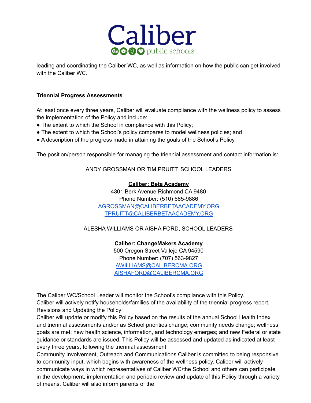

leading and coordinating the Caliber WC, as well as information on how the public can get involved with the Caliber WC.

#### **Triennial Progress Assessments**

At least once every three years, Caliber will evaluate compliance with the wellness policy to assess the implementation of the Policy and include:

- The extent to which the School in compliance with this Policy;
- The extent to which the School's policy compares to model wellness policies; and
- A description of the progress made in attaining the goals of the School's Policy.

The position/person responsible for managing the triennial assessment and contact information is:

ANDY GROSSMAN OR TIM PRUITT, SCHOOL LEADERS

#### **Caliber: Beta Academy**

4301 Berk Avenue Richmond CA 9480 Phone Number: (510) 685-9886 [AGROSSMAN@CALIBERBETAACADEMY.ORG](mailto:AGROSSMAN@CALIBERBETAACADEMY.ORG) [TPRUITT@CALIBERBETAACADEMY.ORG](mailto:TPRUITT@CALIBERBETAACADEMY.ORG)

ALESHA WILLIAMS OR AISHA FORD, SCHOOL LEADERS

**Caliber: ChangeMakers Academy** 500 Oregon Street Vallejo CA 94590 Phone Number: (707) 563-9827 [AWILLIAMS@CALIBERCMA.ORG](mailto:AWILLIAMS@CALIBERCMA.ORG) [AISHAFORD@CALIBERCMA.ORG](mailto:AISHAFORD@CALIBERCMA.ORG)

The Caliber WC/School Leader will monitor the School's compliance with this Policy. Caliber will actively notify households/families of the availability of the triennial progress report. Revisions and Updating the Policy

Caliber will update or modify this Policy based on the results of the annual School Health Index and triennial assessments and/or as School priorities change; community needs change; wellness goals are met; new health science, information, and technology emerges; and new Federal or state guidance or standards are issued. This Policy will be assessed and updated as indicated at least every three years, following the triennial assessment.

Community Involvement, Outreach and Communications Caliber is committed to being responsive to community input, which begins with awareness of the wellness policy. Caliber will actively communicate ways in which representatives of Caliber WC/the School and others can participate in the development, implementation and periodic review and update of this Policy through a variety of means. Caliber will also inform parents of the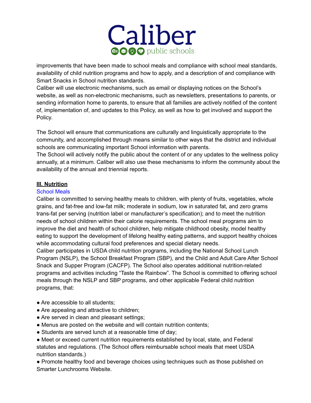

improvements that have been made to school meals and compliance with school meal standards, availability of child nutrition programs and how to apply, and a description of and compliance with Smart Snacks in School nutrition standards.

Caliber will use electronic mechanisms, such as email or displaying notices on the School's website, as well as non-electronic mechanisms, such as newsletters, presentations to parents, or sending information home to parents, to ensure that all families are actively notified of the content of, implementation of, and updates to this Policy, as well as how to get involved and support the Policy.

The School will ensure that communications are culturally and linguistically appropriate to the community, and accomplished through means similar to other ways that the district and individual schools are communicating important School information with parents.

The School will actively notify the public about the content of or any updates to the wellness policy annually, at a minimum. Caliber will also use these mechanisms to inform the community about the availability of the annual and triennial reports.

#### **III. Nutrition**

#### School Meals

Caliber is committed to serving healthy meals to children, with plenty of fruits, vegetables, whole grains, and fat-free and low-fat milk; moderate in sodium, low in saturated fat, and zero grams trans-fat per serving (nutrition label or manufacturer's specification); and to meet the nutrition needs of school children within their calorie requirements. The school meal programs aim to improve the diet and health of school children, help mitigate childhood obesity, model healthy eating to support the development of lifelong healthy eating patterns, and support healthy choices while accommodating cultural food preferences and special dietary needs.

Caliber participates in USDA child nutrition programs, including the National School Lunch Program (NSLP), the School Breakfast Program (SBP), and the Child and Adult Care After School Snack and Supper Program (CACFP). The School also operates additional nutrition-related programs and activities including "Taste the Rainbow". The School is committed to offering school meals through the NSLP and SBP programs, and other applicable Federal child nutrition programs, that:

- Are accessible to all students:
- Are appealing and attractive to children;
- Are served in clean and pleasant settings;
- Menus are posted on the website and will contain nutrition contents;
- Students are served lunch at a reasonable time of day;
- Meet or exceed current nutrition requirements established by local, state, and Federal statutes and regulations. (The School offers reimbursable school meals that meet USDA nutrition standards.)

• Promote healthy food and beverage choices using techniques such as those published on Smarter Lunchrooms Website.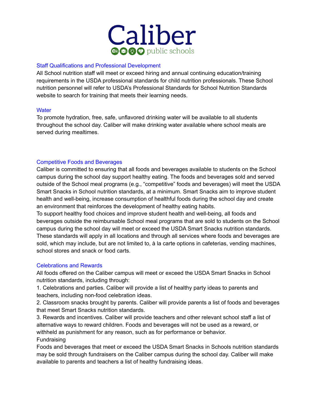

#### Staff Qualifications and Professional Development

All School nutrition staff will meet or exceed hiring and annual continuing education/training requirements in the USDA professional standards for child nutrition professionals. These School nutrition personnel will refer to USDA's Professional Standards for School Nutrition Standards website to search for training that meets their learning needs.

#### **Water**

To promote hydration, free, safe, unflavored drinking water will be available to all students throughout the school day. Caliber will make drinking water available where school meals are served during mealtimes.

#### Competitive Foods and Beverages

Caliber is committed to ensuring that all foods and beverages available to students on the School campus during the school day support healthy eating. The foods and beverages sold and served outside of the School meal programs (e.g., "competitive" foods and beverages) will meet the USDA Smart Snacks in School nutrition standards, at a minimum. Smart Snacks aim to improve student health and well-being, increase consumption of healthful foods during the school day and create an environment that reinforces the development of healthy eating habits.

To support healthy food choices and improve student health and well-being, all foods and beverages outside the reimbursable School meal programs that are sold to students on the School campus during the school day will meet or exceed the USDA Smart Snacks nutrition standards. These standards will apply in all locations and through all services where foods and beverages are sold, which may include, but are not limited to, à la carte options in cafeterias, vending machines, school stores and snack or food carts.

#### Celebrations and Rewards

All foods offered on the Caliber campus will meet or exceed the USDA Smart Snacks in School nutrition standards, including through:

1. Celebrations and parties. Caliber will provide a list of healthy party ideas to parents and teachers, including non-food celebration ideas.

2. Classroom snacks brought by parents. Caliber will provide parents a list of foods and beverages that meet Smart Snacks nutrition standards.

3. Rewards and incentives. Caliber will provide teachers and other relevant school staff a list of alternative ways to reward children. Foods and beverages will not be used as a reward, or withheld as punishment for any reason, such as for performance or behavior.

Fundraising

Foods and beverages that meet or exceed the USDA Smart Snacks in Schools nutrition standards may be sold through fundraisers on the Caliber campus during the school day. Caliber will make available to parents and teachers a list of healthy fundraising ideas.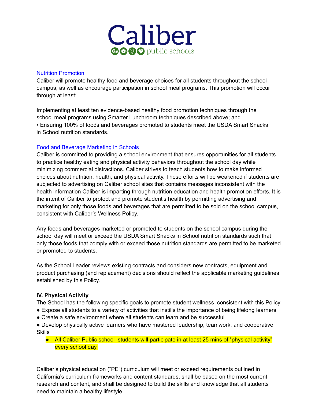

#### Nutrition Promotion

Caliber will promote healthy food and beverage choices for all students throughout the school campus, as well as encourage participation in school meal programs. This promotion will occur through at least:

Implementing at least ten evidence-based healthy food promotion techniques through the school meal programs using Smarter Lunchroom techniques described above; and ▪ Ensuring 100% of foods and beverages promoted to students meet the USDA Smart Snacks in School nutrition standards.

# Food and Beverage Marketing in Schools

Caliber is committed to providing a school environment that ensures opportunities for all students to practice healthy eating and physical activity behaviors throughout the school day while minimizing commercial distractions. Caliber strives to teach students how to make informed choices about nutrition, health, and physical activity. These efforts will be weakened if students are subjected to advertising on Caliber school sites that contains messages inconsistent with the health information Caliber is imparting through nutrition education and health promotion efforts. It is the intent of Caliber to protect and promote student's health by permitting advertising and marketing for only those foods and beverages that are permitted to be sold on the school campus, consistent with Caliber's Wellness Policy.

Any foods and beverages marketed or promoted to students on the school campus during the school day will meet or exceed the USDA Smart Snacks in School nutrition standards such that only those foods that comply with or exceed those nutrition standards are permitted to be marketed or promoted to students.

As the School Leader reviews existing contracts and considers new contracts, equipment and product purchasing (and replacement) decisions should reflect the applicable marketing guidelines established by this Policy.

# **IV. Physical Activity**

The School has the following specific goals to promote student wellness, consistent with this Policy

- Expose all students to a variety of activities that instills the importance of being lifelong learners
- Create a safe environment where all students can learn and be successful
- Develop physically active learners who have mastered leadership, teamwork, and cooperative Skills
	- All Caliber Public school students will participate in at least 25 mins of "physical activity" every school day.

Caliber's physical education ("PE") curriculum will meet or exceed requirements outlined in California's curriculum frameworks and content standards, shall be based on the most current research and content, and shall be designed to build the skills and knowledge that all students need to maintain a healthy lifestyle.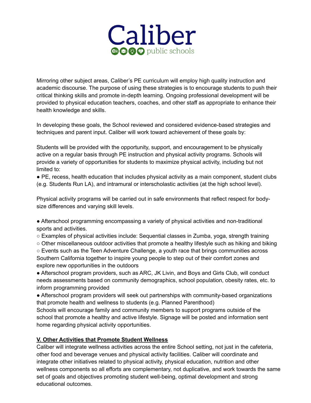

Mirroring other subject areas, Caliber's PE curriculum will employ high quality instruction and academic discourse. The purpose of using these strategies is to encourage students to push their critical thinking skills and promote in-depth learning. Ongoing professional development will be provided to physical education teachers, coaches, and other staff as appropriate to enhance their health knowledge and skills.

In developing these goals, the School reviewed and considered evidence-based strategies and techniques and parent input. Caliber will work toward achievement of these goals by:

Students will be provided with the opportunity, support, and encouragement to be physically active on a regular basis through PE instruction and physical activity programs. Schools will provide a variety of opportunities for students to maximize physical activity, including but not limited to:

● PE, recess, health education that includes physical activity as a main component, student clubs (e.g. Students Run LA), and intramural or interscholastic activities (at the high school level).

Physical activity programs will be carried out in safe environments that reflect respect for bodysize differences and varying skill levels.

● Afterschool programming encompassing a variety of physical activities and non-traditional sports and activities.

○ Examples of physical activities include: Sequential classes in Zumba, yoga, strength training

○ Other miscellaneous outdoor activities that promote a healthy lifestyle such as hiking and biking ○ Events such as the Teen Adventure Challenge, a youth race that brings communities across Southern California together to inspire young people to step out of their comfort zones and explore new opportunities in the outdoors

● Afterschool program providers, such as ARC, JK Livin, and Boys and Girls Club, will conduct needs assessments based on community demographics, school population, obesity rates, etc. to inform programming provided

• Afterschool program providers will seek out partnerships with community-based organizations that promote health and wellness to students (e.g. Planned Parenthood)

Schools will encourage family and community members to support programs outside of the school that promote a healthy and active lifestyle. Signage will be posted and information sent home regarding physical activity opportunities.

# **V. Other Activities that Promote Student Wellness**

Caliber will integrate wellness activities across the entire School setting, not just in the cafeteria, other food and beverage venues and physical activity facilities. Caliber will coordinate and integrate other initiatives related to physical activity, physical education, nutrition and other wellness components so all efforts are complementary, not duplicative, and work towards the same set of goals and objectives promoting student well-being, optimal development and strong educational outcomes.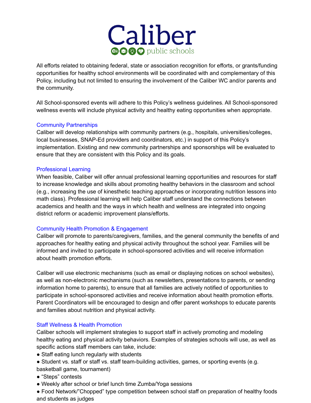

All efforts related to obtaining federal, state or association recognition for efforts, or grants/funding opportunities for healthy school environments will be coordinated with and complementary of this Policy, including but not limited to ensuring the involvement of the Caliber WC and/or parents and the community.

All School-sponsored events will adhere to this Policy's wellness guidelines. All School-sponsored wellness events will include physical activity and healthy eating opportunities when appropriate.

#### Community Partnerships

Caliber will develop relationships with community partners (e.g., hospitals, universities/colleges, local businesses, SNAP-Ed providers and coordinators, etc.) in support of this Policy's implementation. Existing and new community partnerships and sponsorships will be evaluated to ensure that they are consistent with this Policy and its goals.

#### Professional Learning

When feasible, Caliber will offer annual professional learning opportunities and resources for staff to increase knowledge and skills about promoting healthy behaviors in the classroom and school (e.g., increasing the use of kinesthetic teaching approaches or incorporating nutrition lessons into math class). Professional learning will help Caliber staff understand the connections between academics and health and the ways in which health and wellness are integrated into ongoing district reform or academic improvement plans/efforts.

# Community Health Promotion & Engagement

Caliber will promote to parents/caregivers, families, and the general community the benefits of and approaches for healthy eating and physical activity throughout the school year. Families will be informed and invited to participate in school-sponsored activities and will receive information about health promotion efforts.

Caliber will use electronic mechanisms (such as email or displaying notices on school websites), as well as non-electronic mechanisms (such as newsletters, presentations to parents, or sending information home to parents), to ensure that all families are actively notified of opportunities to participate in school-sponsored activities and receive information about health promotion efforts. Parent Coordinators will be encouraged to design and offer parent workshops to educate parents and families about nutrition and physical activity.

# Staff Wellness & Health Promotion

Caliber schools will implement strategies to support staff in actively promoting and modeling healthy eating and physical activity behaviors. Examples of strategies schools will use, as well as specific actions staff members can take, include:

- Staff eating lunch regularly with students
- Student vs. staff or staff vs. staff team-building activities, games, or sporting events (e.g.
- basketball game, tournament)
- "Steps" contests
- Weekly after school or brief lunch time Zumba/Yoga sessions

● Food Network/"Chopped" type competition between school staff on preparation of healthy foods and students as judges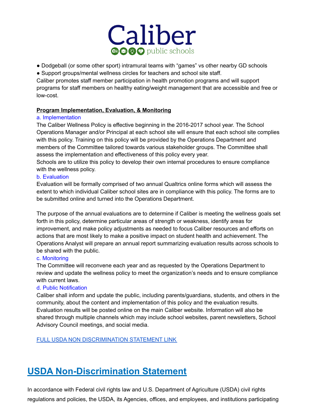

- Dodgeball (or some other sport) intramural teams with "games" vs other nearby GD schools
- Support groups/mental wellness circles for teachers and school site staff.

Caliber promotes staff member participation in health promotion programs and will support programs for staff members on healthy eating/weight management that are accessible and free or low-cost.

# **Program Implementation, Evaluation, & Monitoring**

# a. Implementation

The Caliber Wellness Policy is effective beginning in the 2016-2017 school year. The School Operations Manager and/or Principal at each school site will ensure that each school site complies with this policy. Training on this policy will be provided by the Operations Department and members of the Committee tailored towards various stakeholder groups. The Committee shall assess the implementation and effectiveness of this policy every year.

Schools are to utilize this policy to develop their own internal procedures to ensure compliance with the wellness policy.

#### b. Evaluation

Evaluation will be formally comprised of two annual Qualtrics online forms which will assess the extent to which individual Caliber school sites are in compliance with this policy. The forms are to be submitted online and turned into the Operations Department.

The purpose of the annual evaluations are to determine if Caliber is meeting the wellness goals set forth in this policy, determine particular areas of strength or weakness, identify areas for improvement, and make policy adjustments as needed to focus Caliber resources and efforts on actions that are most likely to make a positive impact on student health and achievement. The Operations Analyst will prepare an annual report summarizing evaluation results across schools to be shared with the public.

# c. Monitoring

The Committee will reconvene each year and as requested by the Operations Department to review and update the wellness policy to meet the organization's needs and to ensure compliance with current laws.

# d. Public Notification

Caliber shall inform and update the public, including parents/guardians, students, and others in the community, about the content and implementation of this policy and the evaluation results. Evaluation results will be posted online on the main Caliber website. Information will also be shared through multiple channels which may include school websites, parent newsletters, School Advisory Council meetings, and social media.

# FULL USDA NON [DISCRIMINATION](https://fcrinc.org/wp-content/uploads/2021/01/Non-Discrimination-Statement-5.pdf) STATEMENT LINK

# **USDA Non-Discrimination Statement**

In accordance with Federal civil rights law and U.S. Department of Agriculture (USDA) civil rights regulations and policies, the USDA, its Agencies, offices, and employees, and institutions participating